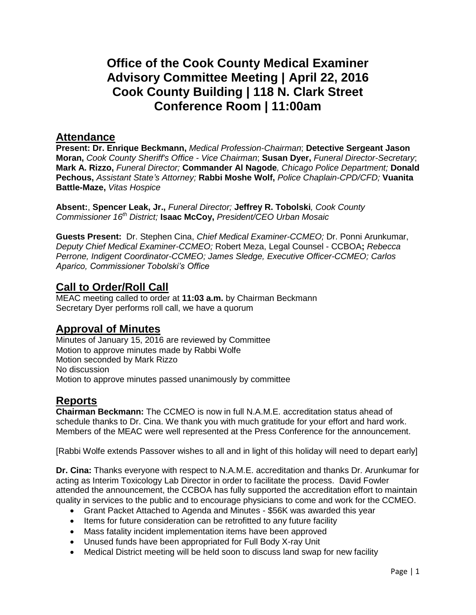# **Office of the Cook County Medical Examiner Advisory Committee Meeting | April 22, 2016 Cook County Building | 118 N. Clark Street Conference Room | 11:00am**

#### **Attendance**

**Present: Dr. Enrique Beckmann,** *Medical Profession-Chairman*; **Detective Sergeant Jason Moran,** *Cook County Sheriff's Office - Vice Chairman*; **Susan Dyer,** *Funeral Director-Secretary*; **Mark A. Rizzo,** *Funeral Director;* **Commander Al Nagode***, Chicago Police Department;* **Donald Pechous,** *Assistant State's Attorney;* **Rabbi Moshe Wolf,** *Police Chaplain-CPD/CFD;* **Vuanita Battle-Maze,** *Vitas Hospice*

**Absent:**, **Spencer Leak, Jr.,** *Funeral Director;* **Jeffrey R. Tobolski***, Cook County Commissioner 16th District;* **Isaac McCoy,** *President/CEO Urban Mosaic*

**Guests Present:** Dr. Stephen Cina, *Chief Medical Examiner-CCMEO;* Dr. Ponni Arunkumar, *Deputy Chief Medical Examiner-CCMEO;* Robert Meza, Legal Counsel - CCBOA**;** *Rebecca Perrone, Indigent Coordinator-CCMEO; James Sledge, Executive Officer-CCMEO; Carlos Aparico, Commissioner Tobolski's Office*

## **Call to Order/Roll Call**

MEAC meeting called to order at **11:03 a.m.** by Chairman Beckmann Secretary Dyer performs roll call, we have a quorum

### **Approval of Minutes**

Minutes of January 15, 2016 are reviewed by Committee Motion to approve minutes made by Rabbi Wolfe Motion seconded by Mark Rizzo No discussion Motion to approve minutes passed unanimously by committee

# **Reports**

**Chairman Beckmann:** The CCMEO is now in full N.A.M.E. accreditation status ahead of schedule thanks to Dr. Cina. We thank you with much gratitude for your effort and hard work. Members of the MEAC were well represented at the Press Conference for the announcement.

[Rabbi Wolfe extends Passover wishes to all and in light of this holiday will need to depart early]

**Dr. Cina:** Thanks everyone with respect to N.A.M.E. accreditation and thanks Dr. Arunkumar for acting as Interim Toxicology Lab Director in order to facilitate the process. David Fowler attended the announcement, the CCBOA has fully supported the accreditation effort to maintain quality in services to the public and to encourage physicians to come and work for the CCMEO.

- Grant Packet Attached to Agenda and Minutes \$56K was awarded this year
- Items for future consideration can be retrofitted to any future facility
- Mass fatality incident implementation items have been approved
- Unused funds have been appropriated for Full Body X-ray Unit
- Medical District meeting will be held soon to discuss land swap for new facility